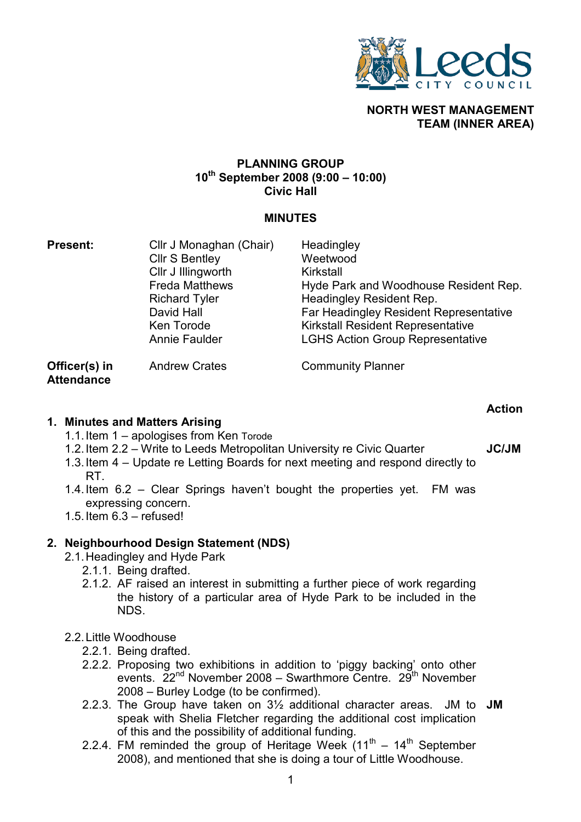

# NORTH WEST MANAGEMENT TEAM (INNER AREA)

## PLANNING GROUP  $10^{th}$  September 2008 (9:00 – 10:00) Civic Hall

# MINUTES

| <b>Present:</b> | Cllr J Monaghan (Chair)<br><b>Cllr S Bentley</b><br>Cllr J Illingworth<br><b>Freda Matthews</b><br><b>Richard Tyler</b><br>David Hall<br>Ken Torode | Headingley<br>Weetwood<br>Kirkstall<br>Hyde Park and Woodhouse Resident Rep.<br>Headingley Resident Rep.<br><b>Far Headingley Resident Representative</b><br><b>Kirkstall Resident Representative</b> |
|-----------------|-----------------------------------------------------------------------------------------------------------------------------------------------------|-------------------------------------------------------------------------------------------------------------------------------------------------------------------------------------------------------|
|                 | Annie Faulder                                                                                                                                       | <b>LGHS Action Group Representative</b>                                                                                                                                                               |
| Officer(s) in   | <b>Andrew Crates</b>                                                                                                                                | <b>Community Planner</b>                                                                                                                                                                              |

Officer(s) in **Attendance** 

### 1. Minutes and Matters Arising

- 1.1. Item 1 apologises from Ken Torode
- 1.2. Item 2.2 Write to Leeds Metropolitan University re Civic Quarter
- 1.3. Item 4 Update re Letting Boards for next meeting and respond directly to RT.
- 1.4. Item 6.2 Clear Springs haven't bought the properties yet. FM was expressing concern.
- 1.5. Item 6.3 refused!

# 2. Neighbourhood Design Statement (NDS)

- 2.1. Headingley and Hyde Park
	- 2.1.1. Being drafted.
	- 2.1.2. AF raised an interest in submitting a further piece of work regarding the history of a particular area of Hyde Park to be included in the NDS.

# 2.2. Little Woodhouse

- 2.2.1. Being drafted.
- 2.2.2. Proposing two exhibitions in addition to 'piggy backing' onto other events.  $22<sup>nd</sup>$  November 2008 – Swarthmore Centre.  $29<sup>th</sup>$  November 2008 – Burley Lodge (to be confirmed).
- 2.2.3. The Group have taken on  $3\frac{1}{2}$  additional character areas. JM to JM speak with Shelia Fletcher regarding the additional cost implication of this and the possibility of additional funding.
- 2.2.4. FM reminded the group of Heritage Week  $(11<sup>th</sup> 14<sup>th</sup>$  September 2008), and mentioned that she is doing a tour of Little Woodhouse.

Action

JC/JM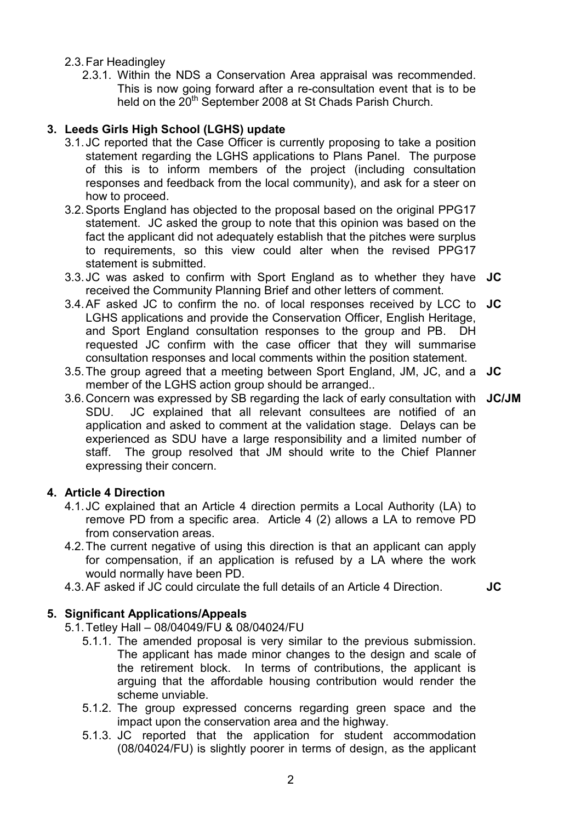- 2.3. Far Headingley
	- 2.3.1. Within the NDS a Conservation Area appraisal was recommended. This is now going forward after a re-consultation event that is to be held on the 20<sup>th</sup> September 2008 at St Chads Parish Church.

# 3. Leeds Girls High School (LGHS) update

- 3.1. JC reported that the Case Officer is currently proposing to take a position statement regarding the LGHS applications to Plans Panel. The purpose of this is to inform members of the project (including consultation responses and feedback from the local community), and ask for a steer on how to proceed.
- 3.2. Sports England has objected to the proposal based on the original PPG17 statement. JC asked the group to note that this opinion was based on the fact the applicant did not adequately establish that the pitches were surplus to requirements, so this view could alter when the revised PPG17 statement is submitted.
- 3.3. JC was asked to confirm with Sport England as to whether they have JC received the Community Planning Brief and other letters of comment.
- 3.4. AF asked JC to confirm the no. of local responses received by LCC to JC LGHS applications and provide the Conservation Officer, English Heritage, and Sport England consultation responses to the group and PB. DH requested JC confirm with the case officer that they will summarise consultation responses and local comments within the position statement.
- 3.5. The group agreed that a meeting between Sport England, JM, JC, and a JC member of the LGHS action group should be arranged..
- 3.6. Concern was expressed by SB regarding the lack of early consultation with JC/JM SDU. JC explained that all relevant consultees are notified of an application and asked to comment at the validation stage. Delays can be experienced as SDU have a large responsibility and a limited number of staff. The group resolved that JM should write to the Chief Planner expressing their concern.

# 4. Article 4 Direction

- 4.1. JC explained that an Article 4 direction permits a Local Authority (LA) to remove PD from a specific area. Article 4 (2) allows a LA to remove PD from conservation areas.
- 4.2. The current negative of using this direction is that an applicant can apply for compensation, if an application is refused by a LA where the work would normally have been PD.
- 4.3. AF asked if JC could circulate the full details of an Article 4 Direction. **JC**

# 5. Significant Applications/Appeals

- 5.1. Tetley Hall 08/04049/FU & 08/04024/FU
	- 5.1.1. The amended proposal is very similar to the previous submission. The applicant has made minor changes to the design and scale of the retirement block. In terms of contributions, the applicant is arguing that the affordable housing contribution would render the scheme unviable.
	- 5.1.2. The group expressed concerns regarding green space and the impact upon the conservation area and the highway.
	- 5.1.3. JC reported that the application for student accommodation (08/04024/FU) is slightly poorer in terms of design, as the applicant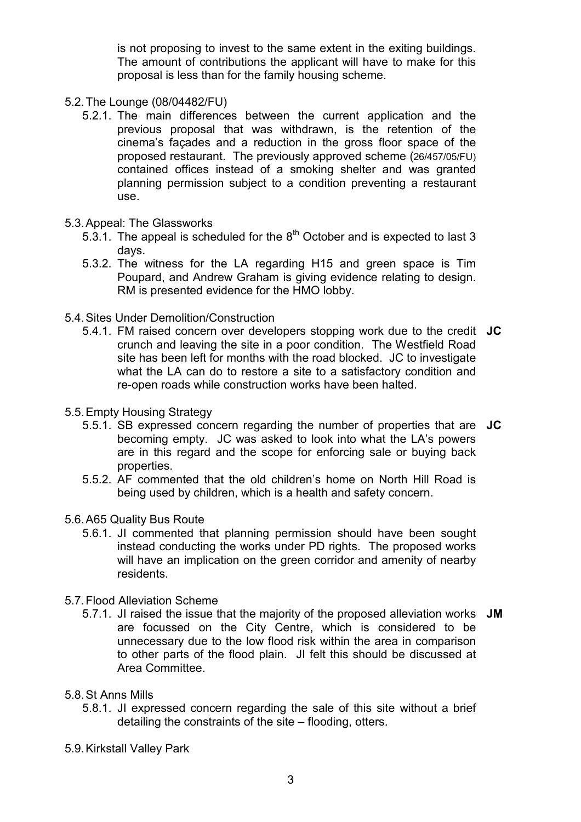is not proposing to invest to the same extent in the exiting buildings. The amount of contributions the applicant will have to make for this proposal is less than for the family housing scheme.

- 5.2. The Lounge (08/04482/FU)
	- 5.2.1. The main differences between the current application and the previous proposal that was withdrawn, is the retention of the cinema's façades and a reduction in the gross floor space of the proposed restaurant. The previously approved scheme (26/457/05/FU) contained offices instead of a smoking shelter and was granted planning permission subject to a condition preventing a restaurant use.
- 5.3. Appeal: The Glassworks
	- 5.3.1. The appeal is scheduled for the  $8<sup>th</sup>$  October and is expected to last 3 days.
	- 5.3.2. The witness for the LA regarding H15 and green space is Tim Poupard, and Andrew Graham is giving evidence relating to design. RM is presented evidence for the HMO lobby.
- 5.4. Sites Under Demolition/Construction
	- 5.4.1. FM raised concern over developers stopping work due to the credit JC crunch and leaving the site in a poor condition. The Westfield Road site has been left for months with the road blocked. JC to investigate what the LA can do to restore a site to a satisfactory condition and re-open roads while construction works have been halted.
- 5.5. Empty Housing Strategy
	- 5.5.1. SB expressed concern regarding the number of properties that are JC becoming empty. JC was asked to look into what the LA's powers are in this regard and the scope for enforcing sale or buying back properties.
	- 5.5.2. AF commented that the old children's home on North Hill Road is being used by children, which is a health and safety concern.
- 5.6. A65 Quality Bus Route
	- 5.6.1. JI commented that planning permission should have been sought instead conducting the works under PD rights. The proposed works will have an implication on the green corridor and amenity of nearby residents.
- 5.7. Flood Alleviation Scheme
	- 5.7.1. JI raised the issue that the majority of the proposed alleviation works JM are focussed on the City Centre, which is considered to be unnecessary due to the low flood risk within the area in comparison to other parts of the flood plain. JI felt this should be discussed at Area Committee.
- 5.8. St Anns Mills
	- 5.8.1. JI expressed concern regarding the sale of this site without a brief detailing the constraints of the site – flooding, otters.
- 5.9. Kirkstall Valley Park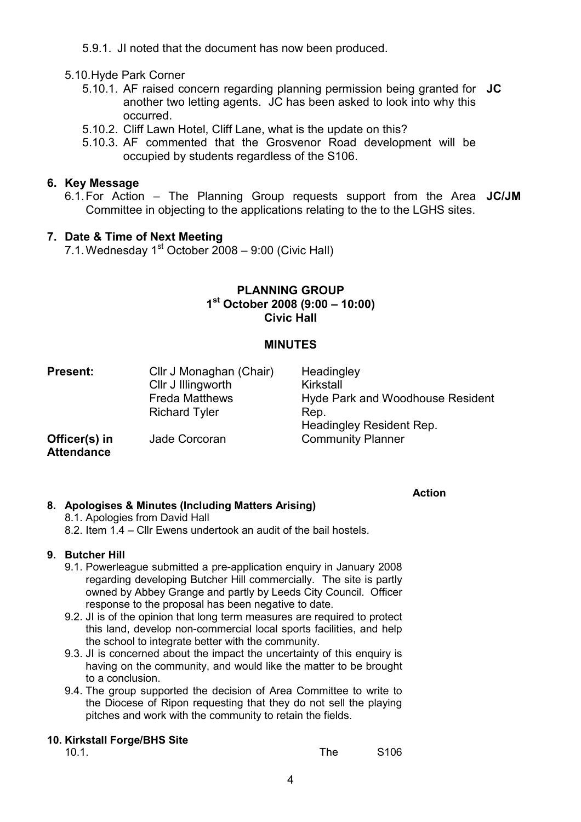5.9.1. JI noted that the document has now been produced.

# 5.10. Hyde Park Corner

- 5.10.1. AF raised concern regarding planning permission being granted for JC another two letting agents. JC has been asked to look into why this occurred.
- 5.10.2. Cliff Lawn Hotel, Cliff Lane, what is the update on this?
- 5.10.3. AF commented that the Grosvenor Road development will be occupied by students regardless of the S106.

# 6. Key Message

6.1. For Action – The Planning Group requests support from the Area JC/JM Committee in objecting to the applications relating to the to the LGHS sites.

# 7. Date & Time of Next Meeting

7.1. Wednesday  $1<sup>st</sup>$  October 2008 – 9:00 (Civic Hall)

## PLANNING GROUP 1 st October 2008 (9:00 – 10:00) Civic Hall

### MINUTES

| Present:                           | Cllr J Monaghan (Chair) | Headingley                       |
|------------------------------------|-------------------------|----------------------------------|
|                                    | Cllr J Illingworth      | Kirkstall                        |
|                                    | <b>Freda Matthews</b>   | Hyde Park and Woodhouse Resident |
|                                    | <b>Richard Tyler</b>    | Rep.                             |
|                                    |                         | Headingley Resident Rep.         |
| Officer(s) in<br><b>Attendance</b> | Jade Corcoran           | <b>Community Planner</b>         |
|                                    |                         |                                  |

#### Action

#### 8. Apologises & Minutes (Including Matters Arising)

- 8.1. Apologies from David Hall
- 8.2. Item 1.4 Cllr Ewens undertook an audit of the bail hostels.

### 9. Butcher Hill

- 9.1. Powerleague submitted a pre-application enquiry in January 2008 regarding developing Butcher Hill commercially. The site is partly owned by Abbey Grange and partly by Leeds City Council. Officer response to the proposal has been negative to date.
- 9.2. JI is of the opinion that long term measures are required to protect this land, develop non-commercial local sports facilities, and help the school to integrate better with the community.
- 9.3. JI is concerned about the impact the uncertainty of this enquiry is having on the community, and would like the matter to be brought to a conclusion.
- 9.4. The group supported the decision of Area Committee to write to the Diocese of Ripon requesting that they do not sell the playing pitches and work with the community to retain the fields.

# 10. Kirkstall Forge/BHS Site

| S <sub>106</sub> |
|------------------|
|                  |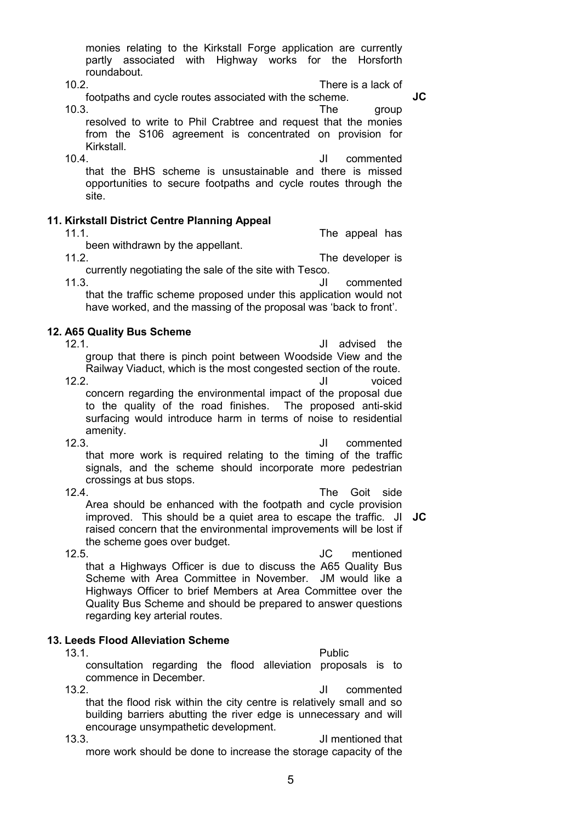monies relating to the Kirkstall Forge application are currently partly associated with Highway works for the Horsforth roundabout.

10.2. There is a lack of footpaths and cycle routes associated with the scheme.

10.3. The group resolved to write to Phil Crabtree and request that the monies from the S106 agreement is concentrated on provision for Kirkstall.

10.4. JI commented that the BHS scheme is unsustainable and there is missed opportunities to secure footpaths and cycle routes through the site.

#### 11. Kirkstall District Centre Planning Appeal

11.1. The appeal has been withdrawn by the appellant. 11.2. The developer is

currently negotiating the sale of the site with Tesco. 11.3. JI commented that the traffic scheme proposed under this application would not have worked, and the massing of the proposal was 'back to front'.

#### 12. A65 Quality Bus Scheme

12.1. JI advised the group that there is pinch point between Woodside View and the Railway Viaduct, which is the most congested section of the route.

12.2. JI voiced concern regarding the environmental impact of the proposal due to the quality of the road finishes. The proposed anti-skid surfacing would introduce harm in terms of noise to residential amenity.<br>12.3.

12.3. JI commented that more work is required relating to the timing of the traffic signals, and the scheme should incorporate more pedestrian crossings at bus stops.

12.4. The Goit side Area should be enhanced with the footpath and cycle provision improved. This should be a quiet area to escape the traffic. JI JC raised concern that the environmental improvements will be lost if the scheme goes over budget.

12.5. JC mentioned that a Highways Officer is due to discuss the A65 Quality Bus Scheme with Area Committee in November. JM would like a Highways Officer to brief Members at Area Committee over the Quality Bus Scheme and should be prepared to answer questions regarding key arterial routes.

#### 13. Leeds Flood Alleviation Scheme

13.1. Public consultation regarding the flood alleviation proposals is to commence in December.

13.2. JI commented that the flood risk within the city centre is relatively small and so building barriers abutting the river edge is unnecessary and will encourage unsympathetic development.

13.3. JI mentioned that more work should be done to increase the storage capacity of the

JC